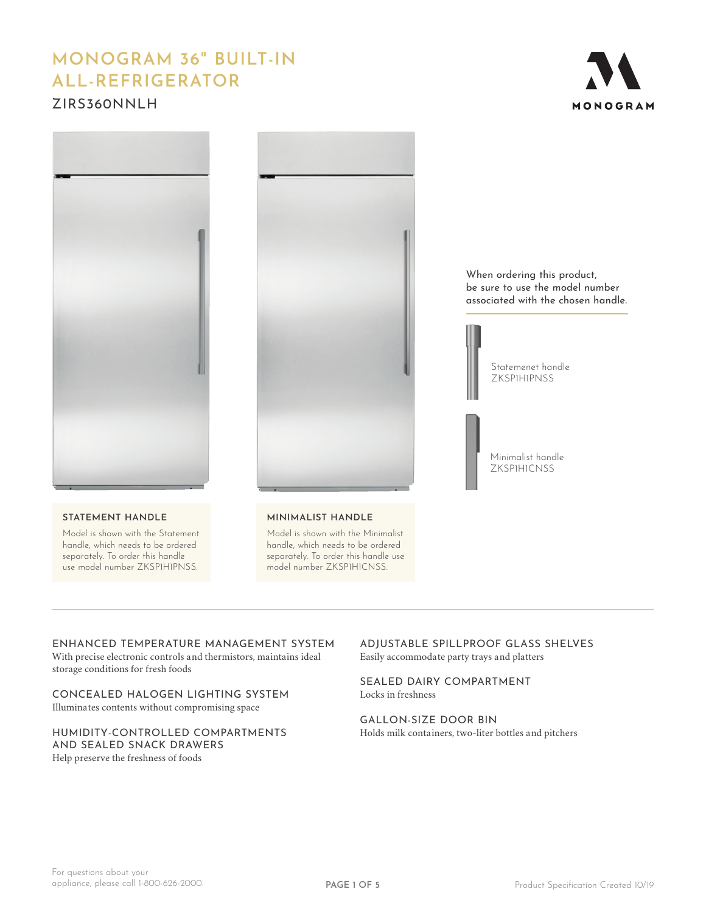# **MONOGRAM 36" BUILT-IN ALL-REFRIGERATOR**

# ZIRS360NNLH





#### **STATEMENT HANDLE**

Model is shown with the Statement handle, which needs to be ordered separately. To order this handle use model number ZKSP1H1PNSS.



#### **MINIMALIST HANDLE**

Model is shown with the Minimalist handle, which needs to be ordered separately. To order this handle use model number ZKSP1H1CNSS.

When ordering this product, be sure to use the model number associated with the chosen handle.



Minimalist handle ZKSP1H1CNSS

# ENHANCED TEMPERATURE MANAGEMENT SYSTEM

With precise electronic controls and thermistors, maintains ideal storage conditions for fresh foods

# CONCEALED HALOGEN LIGHTING SYSTEM Illuminates contents without compromising space

#### HUMIDITY-CONTROLLED COMPARTMENTS AND SEALED SNACK DRAWERS Help preserve the freshness of foods

ADJUSTABLE SPILLPROOF GLASS SHELVES Easily accommodate party trays and platters

SEALED DAIRY COMPARTMENT Locks in freshness

GALLON-SIZE DOOR BIN Holds milk containers, two-liter bottles and pitchers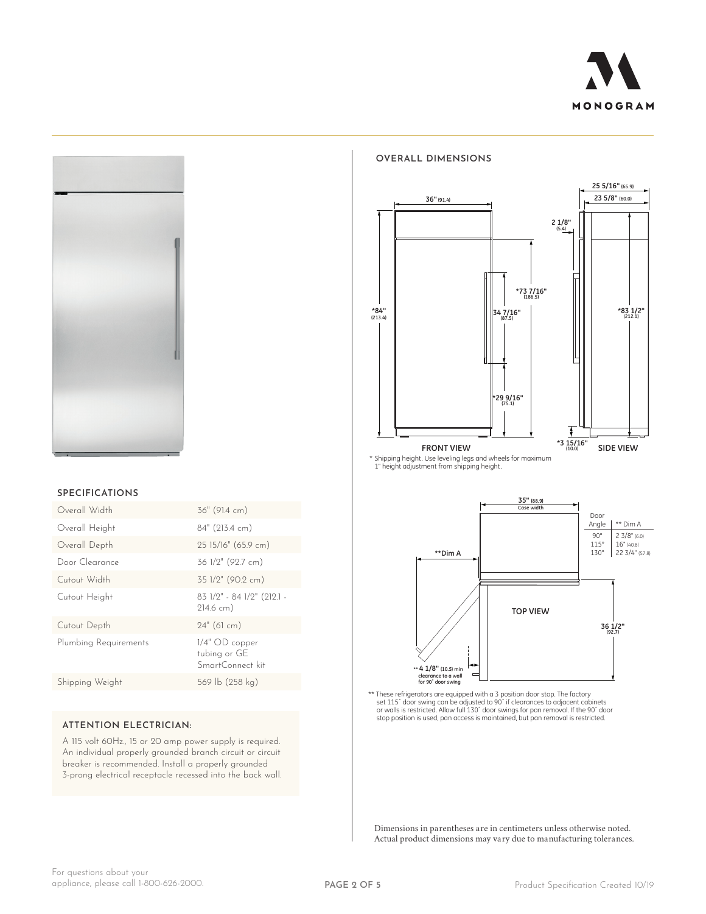



#### **SPECIFICATIONS**

| Overall Width         | 36" (91.4 cm)                                        |
|-----------------------|------------------------------------------------------|
| Overall Height        | 84" (213.4 cm)                                       |
| Overall Depth         | 25 15/16" (65.9 cm)                                  |
| Door Clearance        | 36 1/2" (92.7 cm)                                    |
| Cutout Width          | 35 1/2" (90.2 cm)                                    |
| Cutout Height         | 83 1/2" - 84 1/2" (212.1 -<br>$214.6$ cm)            |
| Cutout Depth          | $24"$ (61 cm)                                        |
| Plumbing Requirements | $1/4"$ OD copper<br>tubing or GE<br>SmartConnect kit |
| Shipping Weight       | 569 lb (258 kg)                                      |
|                       |                                                      |

### **ATTENTION ELECTRICIAN:**

A 115 volt 60Hz., 15 or 20 amp power supply is required. An individual properly grounded branch circuit or circuit breaker is recommended. Install a properly grounded 3-prong electrical receptacle recessed into the back wall.

#### **OVERALL DIMENSIONS**



\* Shipping height. Use leveling legs and wheels for maximum<br>1" height adjustment from shipping height.



\*\* These refrigerators are equipped with a 3 position door stop. The factory<br>set 115° door swing can be adjusted to 90° if clearances to adjacent cabinets<br>or walls is restricted. Allow full 130° door swings for pan removal

Dimensions in parentheses are in centimeters unless otherwise noted. Actual product dimensions may vary due to manufacturing tolerances.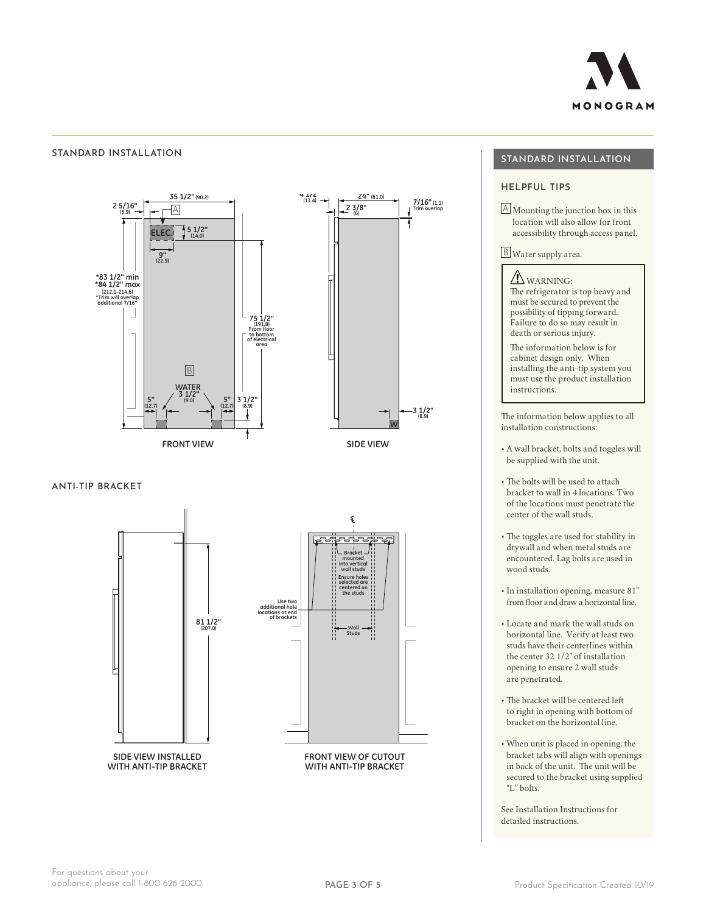

#### **STANDARD INSTALLATION**



**ANTI-TIP BRACKET**



# **STANDARD INSTALLATION**

### **HELPFUL TIPS**

A Mounting the junction box in this location will also allow for front accessibility through access panel.

B Water supply area.

**IN** WARNING: The refrigerator is top heavy and must be secured to prevent the possibility of tipping forward. Failure to do so may result in death or serious injury.

The information below is for cabinet design only. When installing the anti-tip system you must use the product installation instructions.

The information below applies to all installation constructions:

**3 1/2" (8.9) 3 1/2" (8.9)**

- A wall bracket, bolts and toggles will be supplied with the unit.
- The bolts will be used to attach bracket to wall in 4 locations. Two of the locations must penetrate the center of the wall studs.
- The toggles are used for stability in drywall and when metal studs are encountered. Lag bolts are used in wood studs.
- In installation opening, measure 81" from floor and draw a horizontal line.
- Locate and mark the wall studs on horizontal line. Verify at least two studs have their centerlines within the center 32 1/2" of installation opening to ensure 2 wall studs are penetrated.
- The bracket will be centered left to right in opening with bottom of bracket on the horizontal line.
- When unit is placed in opening, the bracket tabs will align with openings in back of the unit. The unit will be secured to the bracket using supplied "L" bolts.

See Installation Instructions for detailed instructions.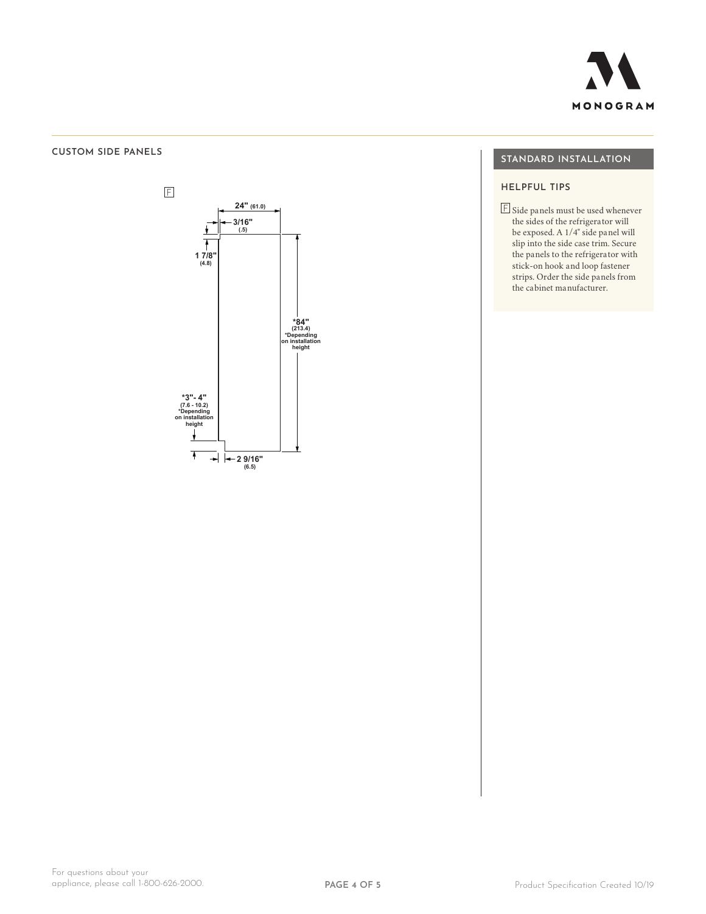

#### **CUSTOM SIDE PANELS**



 $Z$ if360 $N$  $Z$ iraf360n $Z$ iraf360 $N$ a $Z$ iraf360 $N$ 

# **STANDARD INSTALLATION**

# **HELPFUL TIPS**

 $\overline{\mathbb{F}}$  Side panels must be used whenever the sides of the refrigerator will be exposed. A 1/4" side panel will slip into the side case trim. Secure the panels to the refrigerator with stick-on hook and loop fastener strips. Order the side panels from the cabinet manufacturer.